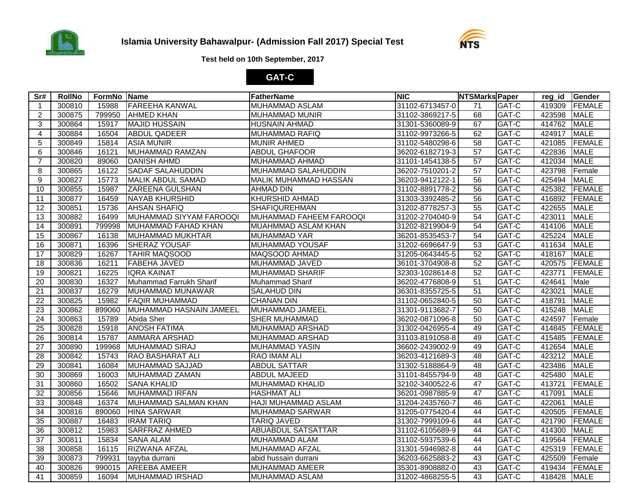



## **Test held on 10th September, 2017**

## **GAT-C**

| Sr#             | <b>RollNo</b> | FormNo Name |                          | FatherName                   | <b>NIC</b>      | <b>NTSMarks Paper</b> |       |        | reg id Gender |
|-----------------|---------------|-------------|--------------------------|------------------------------|-----------------|-----------------------|-------|--------|---------------|
| $\overline{1}$  | 300810        | 15988       | <b>FAREEHA KANWAL</b>    | <b>MUHAMMAD ASLAM</b>        | 31102-6713457-0 | 71                    | GAT-C |        | 419309 FEMALE |
| $\overline{2}$  | 300875        | 799950      | <b>AHMED KHAN</b>        | MUHAMMAD MUNIR               | 31102-3869217-5 | 68                    | GAT-C | 423598 | <b>MALE</b>   |
| 3               | 300864        | 15917       | <b>MAJID HUSSAIN</b>     | <b>HUSNAIN AHMAD</b>         | 31301-5360089-9 | 67                    | GAT-C | 414762 | <b>MALE</b>   |
| 4               | 300884        | 16504       | <b>ABDUL QADEER</b>      | <b>MUHAMMAD RAFIQ</b>        | 31102-9973266-5 | 62                    | GAT-C | 424917 | <b>MALE</b>   |
| 5               | 300849        | 15814       | <b>ASIA MUNIR</b>        | <b>MUNIR AHMED</b>           | 31102-5480298-6 | 58                    | GAT-C | 421085 | FEMALE        |
| 6               | 300846        | 16121       | <b>MUHAMMAD RAMZAN</b>   | <b>ABDUL GHAFOOR</b>         | 36202-6182719-3 | 57                    | GAT-C | 422836 | <b>MALE</b>   |
| $\overline{7}$  | 300820        | 89060       | <b>DANISH AHMD</b>       | MUHAMMAD AHMAD               | 31101-1454138-5 | 57                    | GAT-C | 412034 | <b>MALE</b>   |
| 8               | 300865        | 16122       | <b>SADAF SALAHUDDIN</b>  | MUHAMMAD SALAHUDDIN          | 36202-7510201-2 | 57                    | GAT-C | 423798 | Female        |
| 9               | 300827        | 15773       | <b>MALIK ABDUL SAMAD</b> | <b>MALIK MUHAMMAD HASSAN</b> | 36203-9412122-1 | 56                    | GAT-C | 425494 | <b>MALE</b>   |
| 10              | 300855        | 15987       | <b>ZAREENA GULSHAN</b>   | <b>AHMAD DIN</b>             | 31102-8891778-2 | 56                    | GAT-C | 425382 | FEMALE        |
| $\overline{11}$ | 300877        | 16459       | <b>NAYAB KHURSHID</b>    | <b>KHURSHID AHMAD</b>        | 31303-3392485-2 | 56                    | GAT-C | 416892 | <b>FEMALE</b> |
| $\overline{12}$ | 300851        | 15736       | <b>AHSAN SHAFIQ</b>      | <b>SHAFIQUREHMAN</b>         | 31202-8778257-3 | 55                    | GAT-C | 422655 | <b>MALE</b>   |
| 13              | 300882        | 16499       | MUHAMMAD SIYYAM FAROOQI  | MUHAMMAD FAHEEM FAROOQI      | 31202-2704040-9 | 54                    | GAT-C | 423011 | <b>MALE</b>   |
| 14              | 300891        | 799998      | MUHAMMAD FAHAD KHAN      | MUAHMMAD ASLAM KHAN          | 31202-8219904-9 | 54                    | GAT-C | 414106 | <b>MALE</b>   |
| 15              | 300867        | 16138       | MUHAMMAD MUKHTAR         | MUHAMMAD YAR                 | 36201-8535453-7 | 54                    | GAT-C | 425224 | <b>MALE</b>   |
| 16              | 300871        | 16396       | SHERAZ YOUSAF            | MUHAMMAD YOUSAF              | 31202-6696647-9 | 53                    | GAT-C | 411634 | <b>MALE</b>   |
| 17              | 300829        | 16267       | <b>TAHIR MAQSOOD</b>     | MAQSOOD AHMAD                | 31205-0643445-5 | 52                    | GAT-C | 418167 | <b>MALE</b>   |
| 18              | 300836        | 16211       | <b>FABEHA JAVED</b>      | MUHAMMAD JAVED               | 36101-3704908-8 | 52                    | GAT-C | 420575 | FEMALE        |
| 19              | 300821        | 16225       | <b>IQRA KAINAT</b>       | <b>MUHAMMAD SHARIF</b>       | 32303-1028614-8 | 52                    | GAT-C | 423771 | <b>FEMALE</b> |
| $\overline{20}$ | 300830        | 16327       | Muhammad Farrukh Sharif  | Muhammad Sharif              | 36202-4776808-9 | 51                    | GAT-C | 424641 | Male          |
| 21              | 300837        | 16279       | MUHAMMAD MUNAWAR         | <b>SALAHUD DIN</b>           | 36301-8355725-5 | 51                    | GAT-C | 423021 | <b>MALE</b>   |
| $\overline{22}$ | 300825        | 15982       | <b>FAQIR MUHAMMAD</b>    | <b>CHANAN DIN</b>            | 31102-0652840-5 | 50                    | GAT-C | 418791 | <b>MALE</b>   |
| 23              | 300862        | 899060      | MUHAMMAD HASNAIN JAMEEL  | MUHAMMAD JAMEEL              | 31301-9113682-7 | 50                    | GAT-C | 415248 | <b>MALE</b>   |
| 24              | 300863        | 15789       | Abida Sher               | <b>SHER MUHAMMAD</b>         | 36202-0871096-8 | 50                    | GAT-C | 424597 | TFemale       |
| 25              | 300828        | 15918       | <b>ANOSH FATIMA</b>      | <b>MUHAMMAD ARSHAD</b>       | 31302-0426955-4 | 49                    | GAT-C | 414845 | FEMALE        |
| 26              | 300814        | 15787       | <b>AMMARA ARSHAD</b>     | MUHAMMAD ARSHAD              | 31103-8191058-8 | 49                    | GAT-C | 415485 | <b>FEMALE</b> |
| 27              | 300890        | 199968      | MUHAMMAD SIRAJ           | <b>MUHAMMAD YASIN</b>        | 36602-2439002-9 | 49                    | GAT-C | 412654 | <b>MALE</b>   |
| $\overline{28}$ | 300842        | 15743       | <b>RAO BASHARAT ALI</b>  | <b>RAO IMAM ALI</b>          | 36203-4121689-3 | 48                    | GAT-C | 423212 | <b>MALE</b>   |
| 29              | 300841        | 16084       | <b>MUHAMMAD SAJJAD</b>   | <b>ABDUL SATTAR</b>          | 31302-5188864-9 | 48                    | GAT-C | 423486 | <b>MALE</b>   |
| 30              | 300869        | 16003       | MUHAMMAD ZAMAN           | <b>ABDUL MAJEED</b>          | 31101-8455794-9 | 48                    | GAT-C | 425480 | <b>MALE</b>   |
| 31              | 300860        | 16502       | <b>SANA KHALID</b>       | <b>MUHAMMAD KHALID</b>       | 32102-3400522-6 | 47                    | GAT-C | 413721 | <b>FEMALE</b> |
| 32              | 300856        | 15646       | <b>MUHAMMAD IRFAN</b>    | <b>HASHMAT ALI</b>           | 36201-0987885-9 | $\overline{47}$       | GAT-C | 417091 | <b>MALE</b>   |
| 33              | 300848        | 16374       | MUHAMMAD SALMAN KHAN     | <b>HAJI MUHAMMAD ASLAM</b>   | 31204-2435760-7 | 46                    | GAT-C | 422061 | <b>MALE</b>   |
| 34              | 300816        | 890060      | <b>HINA SARWAR</b>       | <b>MUHAMMAD SARWAR</b>       | 31205-0775420-4 | 44                    | GAT-C | 420505 | FEMALE        |
| 35              | 300887        | 16483       | <b>IRAM TARIQ</b>        | <b>TARIQ JAVED</b>           | 31302-7999109-6 | 44                    | GAT-C | 421790 | FEMALE        |
| $\overline{36}$ | 300812        | 15983       | <b>SARFRAZ AHMED</b>     | <b>ABUABDUL SATSATTAR</b>    | 31102-6105689-9 | 44                    | GAT-C | 414300 | <b>MALE</b>   |
| $\overline{37}$ | 300811        | 15834       | <b>SANA ALAM</b>         | MUHAMMAD ALAM                | 31102-5937539-6 | 44                    | GAT-C |        | 419564 FEMALE |
| 38              | 300858        | 16115       | <b>RIZWANA AFZAL</b>     | MUHAMMAD AFZAL               | 31301-5946982-8 | 44                    | GAT-C | 425319 | FEMALE        |
| 39              | 300873        | 799931      | tayyba durrani           | abid hussain durrani         | 36203-6625883-2 | 43                    | GAT-C | 425509 | Female        |
| 40              | 300826        | 990015      | <b>AREEBA AMEER</b>      | <b>MUHAMMAD AMEER</b>        | 35301-8908882-0 | 43                    | GAT-C | 419434 | FEMALE        |
| 41              | 300859        | 16094       | MUHAMMAD IRSHAD          | <b>MUHAMMAD ASLAM</b>        | 31202-4868255-5 | 43                    | GAT-C | 418428 | <b>MALE</b>   |